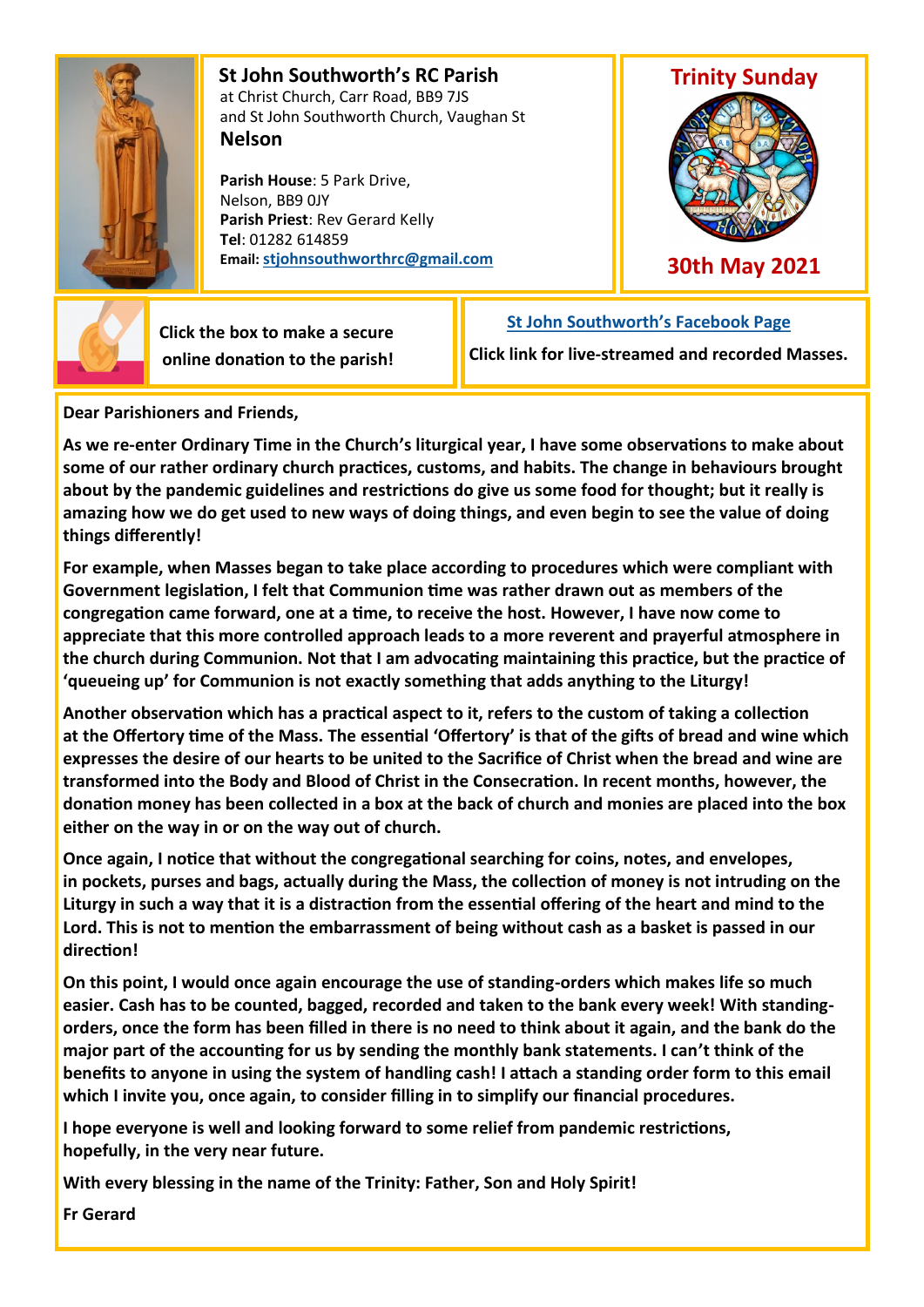

 **St John Southworth's RC Parish** at Christ Church, Carr Road, BB9 7JS and St John Southworth Church, Vaughan St **Nelson**

 **Parish House**: 5 Park Drive, Nelson, BB9 0JY **Parish Priest**: Rev Gerard Kelly **Tel**: 01282 614859 **Email: [stjohnsouthworthrc@gmail.com](mailto:stjohnsouthworth@gmail.com)**



**30th May 2021**



 **Click the box to make a secure online donation to the parish!** **[St John Southworth's Facebook Page](https://www.facebook.com/Parish-of-St-John-Southworth-in-Nelson-105718084323986)**

**Click link for live-streamed and recorded Masses.**

**Dear Parishioners and Friends,**

**As we re-enter Ordinary Time in the Church's liturgical year, I have some observations to make about some of our rather ordinary church practices, customs, and habits. The change in behaviours brought about by the pandemic guidelines and restrictions do give us some food for thought; but it really is amazing how we do get used to new ways of doing things, and even begin to see the value of doing things differently!** 

**For example, when Masses began to take place according to procedures which were compliant with Government legislation, I felt that Communion time was rather drawn out as members of the congregation came forward, one at a time, to receive the host. However, I have now come to appreciate that this more controlled approach leads to a more reverent and prayerful atmosphere in the church during Communion. Not that I am advocating maintaining this practice, but the practice of 'queueing up' for Communion is not exactly something that adds anything to the Liturgy!**

**Another observation which has a practical aspect to it, refers to the custom of taking a collection at the Offertory time of the Mass. The essential 'Offertory' is that of the gifts of bread and wine which expresses the desire of our hearts to be united to the Sacrifice of Christ when the bread and wine are transformed into the Body and Blood of Christ in the Consecration. In recent months, however, the donation money has been collected in a box at the back of church and monies are placed into the box either on the way in or on the way out of church.**

**Once again, I notice that without the congregational searching for coins, notes, and envelopes, in pockets, purses and bags, actually during the Mass, the collection of money is not intruding on the Liturgy in such a way that it is a distraction from the essential offering of the heart and mind to the Lord. This is not to mention the embarrassment of being without cash as a basket is passed in our direction!**

**On this point, I would once again encourage the use of standing-orders which makes life so much easier. Cash has to be counted, bagged, recorded and taken to the bank every week! With standingorders, once the form has been filled in there is no need to think about it again, and the bank do the major part of the accounting for us by sending the monthly bank statements. I can't think of the benefits to anyone in using the system of handling cash! I attach a standing order form to this email which I invite you, once again, to consider filling in to simplify our financial procedures.**

**I hope everyone is well and looking forward to some relief from pandemic restrictions, hopefully, in the very near future.**

**With every blessing in the name of the Trinity: Father, Son and Holy Spirit!**

**Fr Gerard**